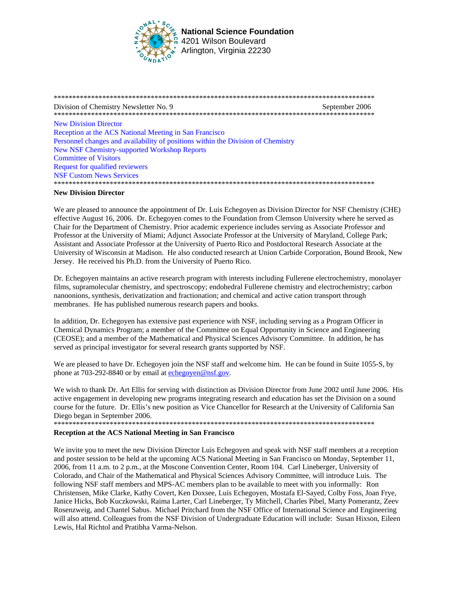

Division of Chemistry Newsletter No. 9 September 2006 **New Division Director** Reception at the ACS National Meeting in San Francisco Personnel changes and availability of positions within the Division of Chemistry **New NSF Chemistry-supported Workshop Reports Committee of Visitors Request for qualified reviewers NSF Custom News Services** 

## **New Division Director**

We are pleased to announce the appointment of Dr. Luis Echegoyen as Division Director for NSF Chemistry (CHE) effective August 16, 2006. Dr. Echegoyen comes to the Foundation from Clemson University where he served as Chair for the Department of Chemistry. Prior academic experience includes serving as Associate Professor and Professor at the University of Miami; Adjunct Associate Professor at the University of Maryland, College Park; Assistant and Associate Professor at the University of Puerto Rico and Postdoctoral Research Associate at the University of Wisconsin at Madison. He also conducted research at Union Carbide Corporation, Bound Brook, New Jersey. He received his Ph.D. from the University of Puerto Rico.

Dr. Echegoyen maintains an active research program with interests including Fullerene electrochemistry, monolayer films, supramolecular chemistry, and spectroscopy; endohedral Fullerene chemistry and electrochemistry; carbon nanoonions, synthesis, derivatization and fractionation; and chemical and active cation transport through membranes. He has published numerous research papers and books.

In addition, Dr. Echegoven has extensive past experience with NSF, including serving as a Program Officer in Chemical Dynamics Program; a member of the Committee on Equal Opportunity in Science and Engineering (CEOSE); and a member of the Mathematical and Physical Sciences Advisory Committee. In addition, he has served as principal investigator for several research grants supported by NSF.

We are pleased to have Dr. Echegoven join the NSF staff and welcome him. He can be found in Suite 1055-S, by phone at 703-292-8840 or by email at echegoven@nsf.gov.

We wish to thank Dr. Art Ellis for serving with distinction as Division Director from June 2002 until June 2006. His active engagement in developing new programs integrating research and education has set the Division on a sound course for the future. Dr. Ellis's new position as Vice Chancellor for Research at the University of California San Diego began in September 2006.

## **Reception at the ACS National Meeting in San Francisco**

We invite you to meet the new Division Director Luis Echegoyen and speak with NSF staff members at a reception and poster session to be held at the upcoming ACS National Meeting in San Francisco on Monday, September 11, 2006, from 11 a.m. to 2 p.m., at the Moscone Convention Center, Room 104. Carl Lineberger, University of Colorado, and Chair of the Mathematical and Physical Sciences Advisory Committee, will introduce Luis. The following NSF staff members and MPS-AC members plan to be available to meet with you informally: Ron Christensen, Mike Clarke, Kathy Covert, Ken Doxsee, Luis Echegoyen, Mostafa El-Sayed, Colby Foss, Joan Frye, Janice Hicks, Bob Kuczkowski, Raima Larter, Carl Lineberger, Ty Mitchell, Charles Pibel, Marty Pomerantz, Zeev Rosenzweig, and Chantel Sabus. Michael Pritchard from the NSF Office of International Science and Engineering will also attend. Colleagues from the NSF Division of Undergraduate Education will include: Susan Hixson, Eileen Lewis, Hal Richtol and Pratibha Varma-Nelson.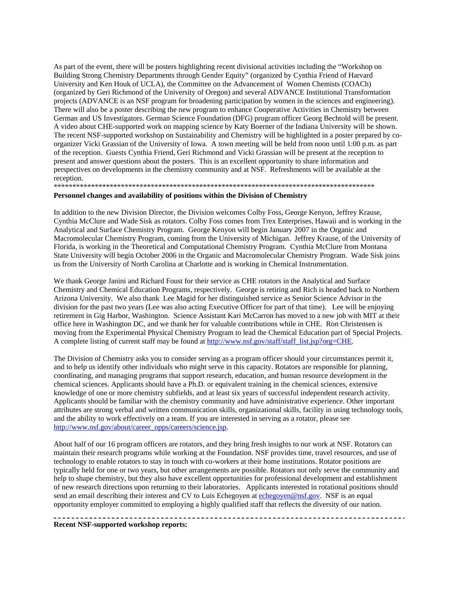<span id="page-1-0"></span>As part of the event, there will be posters highlighting recent divisional activities including the "Workshop on Building Strong Chemistry Departments through Gender Equity" (organized by Cynthia Friend of Harvard University and Ken Houk of UCLA), the Committee on the Advancement of Women Chemists (COACh) (organized by Geri Richmond of the University of Oregon) and several ADVANCE Institutional Transformation projects (ADVANCE is an NSF program for broadening participation by women in the sciences and engineering). There will also be a poster describing the new program to enhance Cooperative Activities in Chemistry between German and US Investigators. German Science Foundation (DFG) program officer Georg Bechtold will be present. A video about CHE-supported work on mapping science by Katy Boerner of the Indiana University will be shown. The recent NSF-supported workshop on Sustainability and Chemistry will be highlighted in a poster prepared by coorganizer Vicki Grassian of the University of Iowa. A town meeting will be held from noon until 1:00 p.m. as part of the reception. Guests Cynthia Friend, Geri Richmond and Vicki Grassian will be present at the reception to present and answer questions about the posters. This is an excellent opportunity to share information and perspectives on developments in the chemistry community and at NSF. Refreshments will be available at the reception.

\*\*\*\*\*\*\*\*\*\*\*\*\*\*\*\*\*\*\*\*\*\*\*\*\*\*\*\*\*\*\*\*\*\*\*\*\*\*\*\*\*\*\*\*\*\*\*\*\*\*\*\*\*\*\*\*\*\*\*\*\*\*\*\*\*\*\*\*\*\*\*\*\*\*\*\*\*\*\*\*\*\*\*\*\*\*

### **Personnel changes and availability of positions within the Division of Chemistry**

In addition to the new Division Director, the Division welcomes Colby Foss, George Kenyon, Jeffrey Krause, Cynthia McClure and Wade Sisk as rotators. Colby Foss comes from Trex Enterprises, Hawaii and is working in the Analytical and Surface Chemistry Program. George Kenyon will begin January 2007 in the Organic and Macromolecular Chemistry Program, coming from the University of Michigan. Jeffrey Krause, of the University of Florida, is working in the Theoretical and Computational Chemistry Program. Cynthia McClure from Montana State University will begin October 2006 in the Organic and Macromolecular Chemistry Program. Wade Sisk joins us from the University of North Carolina at Charlotte and is working in Chemical Instrumentation.

We thank George Janini and Richard Foust for their service as CHE rotators in the Analytical and Surface Chemistry and Chemical Education Programs, respectively. George is retiring and Rich is headed back to Northern Arizona University. We also thank Lee Magid for her distinguished service as Senior Science Advisor in the division for the past two years (Lee was also acting Executive Officer for part of that time). Lee will be enjoying retirement in Gig Harbor, Washington. Science Assistant Kari McCarron has moved to a new job with MIT at their office here in Washington DC, and we thank her for valuable contributions while in CHE. Ron Christensen is moving from the Experimental Physical Chemistry Program to lead the Chemical Education part of Special Projects. A complete listing of current staff may be found at http://www.nsf.gov/staff/staff\_list.jsp?org=CHE.

The Division of Chemistry asks you to consider serving as a program officer should your circumstances permit it, and to help us identify other individuals who might serve in this capacity. Rotators are responsible for planning, coordinating, and managing programs that support research, education, and human resource development in the chemical sciences. Applicants should have a Ph.D. or equivalent training in the chemical sciences, extensive knowledge of one or more chemistry subfields, and at least six years of successful independent research activity. Applicants should be familiar with the chemistry community and have administrative experience. Other important attributes are strong verbal and written communication skills, organizational skills, facility in using technology tools, and the ability to work effectively on a team. If you are interested in serving as a rotator, please see http://www.nsf.gov/about/career\_opps/careers/science.jsp.

About half of our 16 program officers are rotators, and they bring fresh insights to our work at NSF. Rotators can maintain their research programs while working at the Foundation. NSF provides time, travel resources, and use of technology to enable rotators to stay in touch with co-workers at their home institutions. Rotator positions are typically held for one or two years, but other arrangements are possible. Rotators not only serve the community and help to shape chemistry, but they also have excellent opportunities for professional development and establishment of new research directions upon returning to their laboratories. Applicants interested in rotational positions should send an email describing their interest and CV to Luis Echegoyen at echegoyen@nsf.gov. NSF is an equal opportunity employer committed to employing a highly qualified staff that reflects the diversity of our nation.